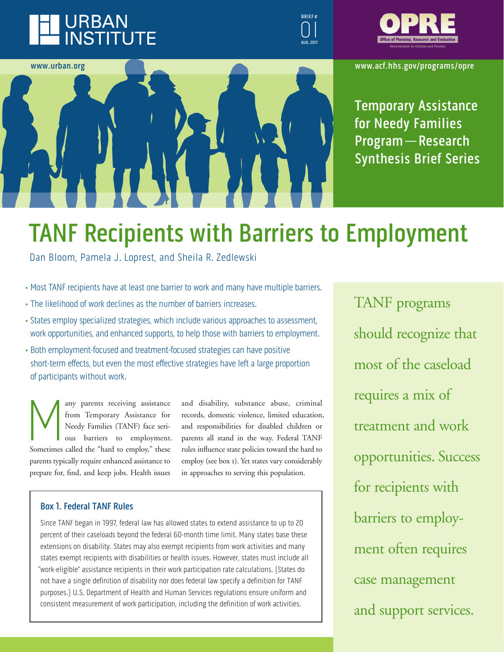## **URBAN INSTITUTE**





**www.acf.hhs.gov/programs/opre**

**Temporary Assistance for Needy families Program — research Synthesis brief Series**

# **TANF Recipients with Barriers to Employment**

Dan Bloom, Pamela J. Loprest, and Sheila R. Zedlewski

- Most TANF recipients have at least one barrier to work and many have multiple barriers.
- The likelihood of work declines as the number of barriers increases.
- States employ specialized strategies, which include various approaches to assessment, work opportunities, and enhanced supports, to help those with barriers to employment.
- Both employment-focused and treatment-focused strategies can have positive short-term effects, but even the most effective strategies have left a large proportion of participants without work.

Many parents receiving assistance for the Temporary Assistance for Needy Families (TANF) face seri-<br>ous barriers to employment<br>Sometimes called the "hard to employ," these from Temporary Assistance for Needy Families (TANF) face serious barriers to employment. parents typically require enhanced assistance to prepare for, find, and keep jobs. Health issues

and disability, substance abuse, criminal records, domestic violence, limited education, and responsibilities for disabled children or parents all stand in the way. Federal TANF rules influence state policies toward the hard to employ (see box 1). Yet states vary considerably in approaches to serving this population.

## **Box 1. Federal TANF Rules**

Since TANF began in 1997, federal law has allowed states to extend assistance to up to 20 percent of their caseloads beyond the federal 60-month time limit. Many states base these extensions on disability. States may also exempt recipients from work activities and many states exempt recipients with disabilities or health issues. However, states must include all "work-eligible" assistance recipients in their work participation rate calculations. (States do not have a single definition of disability nor does federal law specify a definition for TANF purposes.) U.S. Department of Health and Human Services regulations ensure uniform and consistent measurement of work participation, including the definition of work activities.

TANF programs should recognize that most of the caseload requires a mix of treatment and work opportunities. Success for recipients with barriers to employment often requires case management and support services.

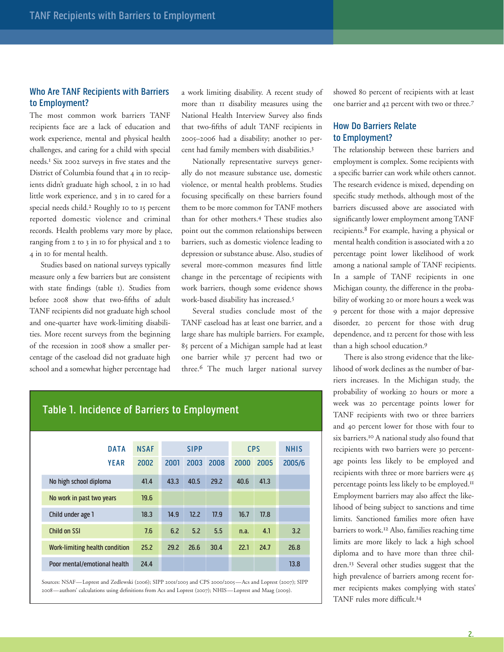## **Who Are TANF Recipients with Barriers to employment?**

The most common work barriers TANF recipients face are a lack of education and work experience, mental and physical health challenges, and caring for a child with special needs.1 Six 2002 surveys in five states and the District of Columbia found that 4 in 10 recipients didn't graduate high school, 2 in 10 had little work experience, and 3 in 10 cared for a special needs child.2 Roughly 10 to 15 percent reported domestic violence and criminal records. Health problems vary more by place, ranging from 2 to 3 in 10 for physical and 2 to 4 in 10 for mental health.

Studies based on national surveys typically measure only a few barriers but are consistent with state findings (table 1). Studies from before 2008 show that two-fifths of adult TANF recipients did not graduate high school and one-quarter have work-limiting disabilities. More recent surveys from the beginning of the recession in 2008 show a smaller percentage of the caseload did not graduate high school and a somewhat higher percentage had a work limiting disability. A recent study of more than 11 disability measures using the National Health Interview Survey also finds that two-fifths of adult TANF recipients in 2005–2006 had a disability; another 10 percent had family members with disabilities.3

Nationally representative surveys generally do not measure substance use, domestic violence, or mental health problems. Studies focusing specifically on these barriers found them to be more common for TANF mothers than for other mothers.4 These studies also point out the common relationships between barriers, such as domestic violence leading to depression or substance abuse. Also, studies of several more-common measures find little change in the percentage of recipients with work barriers, though some evidence shows work-based disability has increased.5

Several studies conclude most of the TANF caseload has at least one barrier, and a large share has multiple barriers. For example, 85 percent of a Michigan sample had at least one barrier while 37 percent had two or three.6 The much larger national survey

showed 80 percent of recipients with at least one barrier and 42 percent with two or three.7

## **How Do Barriers Relate to employment?**

The relationship between these barriers and employment is complex. Some recipients with a specific barrier can work while others cannot. The research evidence is mixed, depending on specific study methods, although most of the barriers discussed above are associated with significantly lower employment among TANF recipients.8 For example, having a physical or mental health condition is associated with a 20 percentage point lower likelihood of work among a national sample of TANF recipients. In a sample of TANF recipients in one Michigan county, the difference in the probability of working 20 or more hours a week was 9 percent for those with a major depressive disorder, 20 percent for those with drug dependence, and 12 percent for those with less than a high school education.9

There is also strong evidence that the likelihood of work declines as the number of barriers increases. In the Michigan study, the probability of working 20 hours or more a week was 20 percentage points lower for TANF recipients with two or three barriers and 40 percent lower for those with four to six barriers.10 A national study also found that recipients with two barriers were 30 percentage points less likely to be employed and recipients with three or more barriers were 45 percentage points less likely to be employed.11 Employment barriers may also affect the likelihood of being subject to sanctions and time limits. Sanctioned families more often have barriers to work.12 Also, families reaching time limits are more likely to lack a high school diploma and to have more than three children.13 Several other studies suggest that the high prevalence of barriers among recent former recipients makes complying with states' TANF rules more difficult.14

## **Table 1. incidence of barriers to employment**

| <b>DATA</b>                    | <b>NSAF</b> | <b>SIPP</b> |      | <b>CPS</b> |      | <b>NHIS</b> |        |
|--------------------------------|-------------|-------------|------|------------|------|-------------|--------|
| <b>YEAR</b>                    | 2002        | 2001        | 2003 | 2008       | 2000 | 2005        | 2005/6 |
| No high school diploma         | 41.4        | 43.3        | 40.5 | 29.2       | 40.6 | 41.3        |        |
| No work in past two years      | 19.6        |             |      |            |      |             |        |
| Child under age 1              | 18.3        | 14.9        | 12.2 | 77.9       | 16.7 | 17.8        |        |
| Child on SSI                   | 7.6         | 6.2         | 5.2  | 5.5        | n.a. | 4.1         | 3.2    |
| Work-limiting health condition | 25.2        | 29.2        | 26.6 | 30.4       | 22.1 | 24.7        | 26.8   |
| Poor mental/emotional health   | 24.4        |             |      |            |      |             | 13.8   |

Sources: NSAF—Loprest and Zedlewski (2006); SIPP 2001/2003 and CPS 2000/2005—Acs and Loprest (2007); SIPP 2008—authors' calculations using definitions from Acs and Loprest (2007); NHIS—Loprest and Maag (2009).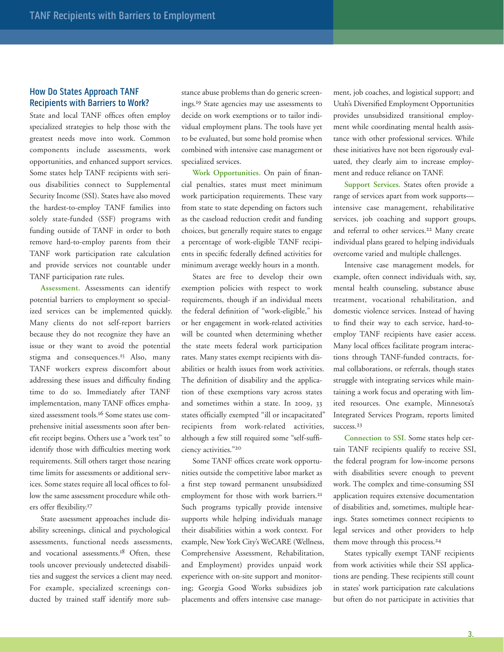## **How Do States Approach TANf recipients with barriers to Work?**

State and local TANF offices often employ specialized strategies to help those with the greatest needs move into work. Common components include assessments, work opportunities, and enhanced support services. Some states help TANF recipients with serious disabilities connect to Supplemental Security Income (SSI). States have also moved the hardest-to-employ TANF families into solely state-funded (SSF) programs with funding outside of TANF in order to both remove hard-to-employ parents from their TANF work participation rate calculation and provide services not countable under TANF participation rate rules.

**Assessment.** Assessments can identify potential barriers to employment so specialized services can be implemented quickly. Many clients do not self-report barriers because they do not recognize they have an issue or they want to avoid the potential stigma and consequences.<sup>15</sup> Also, many TANF workers express discomfort about addressing these issues and difficulty finding time to do so. Immediately after TANF implementation, many TANF offices emphasized assessment tools.16 Some states use comprehensive initial assessments soon after benefit receipt begins. Others use a "work test" to identify those with difficulties meeting work requirements. Still others target those nearing time limits for assessments or additional services. Some states require all local offices to follow the same assessment procedure while others offer flexibility.17

State assessment approaches include disability screenings, clinical and psychological assessments, functional needs assessments, and vocational assessments.<sup>18</sup> Often, these tools uncover previously undetected disabilities and suggest the services a client may need. For example, specialized screenings conducted by trained staff identify more substance abuse problems than do generic screenings.19 State agencies may use assessments to decide on work exemptions or to tailor individual employment plans. The tools have yet to be evaluated, but some hold promise when combined with intensive case management or specialized services.

**Work Opportunities.** On pain of financial penalties, states must meet minimum work participation requirements. These vary from state to state depending on factors such as the caseload reduction credit and funding choices, but generally require states to engage a percentage of work-eligible TANF recipients in specific federally defined activities for minimum average weekly hours in a month.

States are free to develop their own exemption policies with respect to work requirements, though if an individual meets the federal definition of "work-eligible," his or her engagement in work-related activities will be counted when determining whether the state meets federal work participation rates. Many states exempt recipients with disabilities or health issues from work activities. The definition of disability and the application of these exemptions vary across states and sometimes within a state. In 2009, 33 states officially exempted "ill or incapacitated" recipients from work-related activities, although a few still required some "self-sufficiency activities."20

Some TANF offices create work opportunities outside the competitive labor market as a first step toward permanent unsubsidized employment for those with work barriers.<sup>21</sup> Such programs typically provide intensive supports while helping individuals manage their disabilities within a work context. For example, New York City's WeCARE (Wellness, Comprehensive Assessment, Rehabilitation, and Employment) provides unpaid work experience with on-site support and monitoring; Georgia Good Works subsidizes job placements and offers intensive case management, job coaches, and logistical support; and Utah's Diversified Employment Opportunities provides unsubsidized transitional employment while coordinating mental health assistance with other professional services. While these initiatives have not been rigorously evaluated, they clearly aim to increase employment and reduce reliance on TANF.

**Support Services.** States often provide a range of services apart from work supports intensive case management, rehabilitative services, job coaching and support groups, and referral to other services.<sup>22</sup> Many create individual plans geared to helping individuals overcome varied and multiple challenges.

Intensive case management models, for example, often connect individuals with, say, mental health counseling, substance abuse treatment, vocational rehabilitation, and domestic violence services. Instead of having to find their way to each service, hard-toemploy TANF recipients have easier access. Many local offices facilitate program interactions through TANF-funded contracts, formal collaborations, or referrals, though states struggle with integrating services while maintaining a work focus and operating with limited resources. One example, Minnesota's Integrated Services Program, reports limited success.<sup>23</sup>

**Connection to SSI.** Some states help certain TANF recipients qualify to receive SSI, the federal program for low-income persons with disabilities severe enough to prevent work. The complex and time-consuming SSI application requires extensive documentation of disabilities and, sometimes, multiple hearings. States sometimes connect recipients to legal services and other providers to help them move through this process.<sup>24</sup>

States typically exempt TANF recipients from work activities while their SSI applications are pending. These recipients still count in states' work participation rate calculations but often do not participate in activities that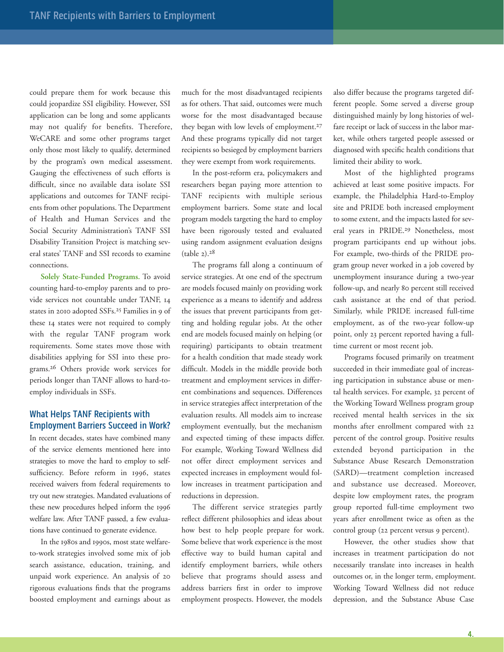could prepare them for work because this could jeopardize SSI eligibility. However, SSI application can be long and some applicants may not qualify for benefits. Therefore, WeCARE and some other programs target only those most likely to qualify, determined by the program's own medical assessment. Gauging the effectiveness of such efforts is difficult, since no available data isolate SSI applications and outcomes for TANF recipients from other populations. The Department of Health and Human Services and the Social Security Administration's TANF SSI Disability Transition Project is matching several states' TANF and SSI records to examine connections.

**Solely State-Funded Programs.** To avoid counting hard-to-employ parents and to provide services not countable under TANF, 14 states in 2010 adopted SSFs.25 Families in 9 of these 14 states were not required to comply with the regular TANF program work requirements. Some states move those with disabilities applying for SSI into these programs.26 Others provide work services for periods longer than TANF allows to hard-toemploy individuals in SSFs.

## **What Helps TANF Recipients with employment barriers Succeed in Work?**

In recent decades, states have combined many of the service elements mentioned here into strategies to move the hard to employ to selfsufficiency. Before reform in 1996, states received waivers from federal requirements to try out new strategies. Mandated evaluations of these new procedures helped inform the 1996 welfare law. After TANF passed, a few evaluations have continued to generate evidence.

In the 1980s and 1990s, most state welfareto-work strategies involved some mix of job search assistance, education, training, and unpaid work experience. An analysis of 20 rigorous evaluations finds that the programs boosted employment and earnings about as much for the most disadvantaged recipients as for others. That said, outcomes were much worse for the most disadvantaged because they began with low levels of employment.<sup>27</sup> And these programs typically did not target recipients so besieged by employment barriers they were exempt from work requirements.

In the post-reform era, policymakers and researchers began paying more attention to TANF recipients with multiple serious employment barriers. Some state and local program models targeting the hard to employ have been rigorously tested and evaluated using random assignment evaluation designs (table 2).28

The programs fall along a continuum of service strategies. At one end of the spectrum are models focused mainly on providing work experience as a means to identify and address the issues that prevent participants from getting and holding regular jobs. At the other end are models focused mainly on helping (or requiring) participants to obtain treatment for a health condition that made steady work difficult. Models in the middle provide both treatment and employment services in different combinations and sequences. Differences in service strategies affect interpretation of the evaluation results. All models aim to increase employment eventually, but the mechanism and expected timing of these impacts differ. For example, Working Toward Wellness did not offer direct employment services and expected increases in employment would follow increases in treatment participation and reductions in depression.

The different service strategies partly reflect different philosophies and ideas about how best to help people prepare for work. Some believe that work experience is the most effective way to build human capital and identify employment barriers, while others believe that programs should assess and address barriers first in order to improve employment prospects. However, the models

also differ because the programs targeted different people. Some served a diverse group distinguished mainly by long histories of welfare receipt or lack of success in the labor market, while others targeted people assessed or diagnosed with specific health conditions that limited their ability to work.

Most of the highlighted programs achieved at least some positive impacts. For example, the Philadelphia Hard-to-Employ site and PRIDE both increased employment to some extent, and the impacts lasted for several years in PRIDE.29 Nonetheless, most program participants end up without jobs. For example, two-thirds of the PRIDE program group never worked in a job covered by unemployment insurance during a two-year follow-up, and nearly 80 percent still received cash assistance at the end of that period. Similarly, while PRIDE increased full-time employment, as of the two-year follow-up point, only 23 percent reported having a fulltime current or most recent job.

Programs focused primarily on treatment succeeded in their immediate goal of increasing participation in substance abuse or mental health services. For example, 32 percent of the Working Toward Wellness program group received mental health services in the six months after enrollment compared with 22 percent of the control group. Positive results extended beyond participation in the Substance Abuse Research Demonstration (SARD)—treatment completion increased and substance use decreased. Moreover, despite low employment rates, the program group reported full-time employment two years after enrollment twice as often as the control group (22 percent versus 9 percent).

However, the other studies show that increases in treatment participation do not necessarily translate into increases in health outcomes or, in the longer term, employment. Working Toward Wellness did not reduce depression, and the Substance Abuse Case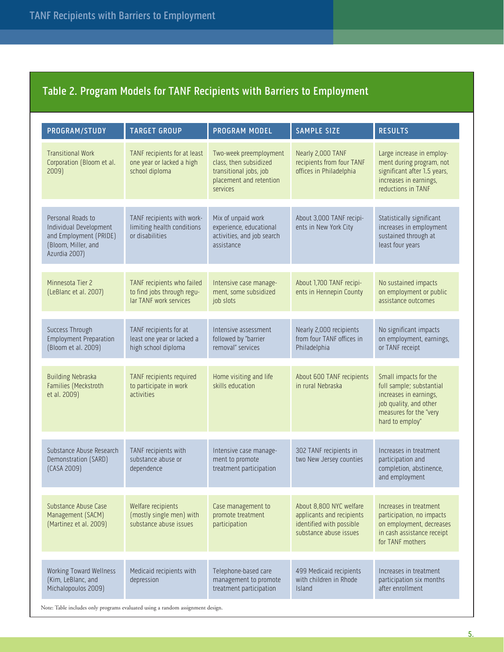## **Table 2. Program models for TANf recipients with barriers to employment**

| PROGRAM/STUDY                                                                                                 | <b>TARGET GROUP</b>                                                                | <b>PROGRAM MODEL</b>                                                                                              | <b>SAMPLE SIZE</b>                                                                                         | <b>RESULTS</b>                                                                                                                                     |
|---------------------------------------------------------------------------------------------------------------|------------------------------------------------------------------------------------|-------------------------------------------------------------------------------------------------------------------|------------------------------------------------------------------------------------------------------------|----------------------------------------------------------------------------------------------------------------------------------------------------|
| <b>Transitional Work</b><br>Corporation (Bloom et al.<br>2009)                                                | TANF recipients for at least<br>one year or lacked a high<br>school diploma        | Two-week preemployment<br>class, then subsidized<br>transitional jobs, job<br>placement and retention<br>services | Nearly 2,000 TANF<br>recipients from four TANF<br>offices in Philadelphia                                  | Large increase in employ-<br>ment during program, not<br>significant after 1.5 years,<br>increases in earnings,<br>reductions in TANF              |
| Personal Roads to<br>Individual Development<br>and Employment (PRIDE)<br>(Bloom, Miller, and<br>Azurdia 2007) | TANF recipients with work-<br>limiting health conditions<br>or disabilities        | Mix of unpaid work<br>experience, educational<br>activities, and job search<br>assistance                         | About 3,000 TANF recipi-<br>ents in New York City                                                          | Statistically significant<br>increases in employment<br>sustained through at<br>least four years                                                   |
| Minnesota Tier 2<br>(LeBlanc et al. 2007)                                                                     | TANF recipients who failed<br>to find jobs through regu-<br>lar TANF work services | Intensive case manage-<br>ment, some subsidized<br>job slots                                                      | About 1,700 TANF recipi-<br>ents in Hennepin County                                                        | No sustained impacts<br>on employment or public<br>assistance outcomes                                                                             |
| Success Through<br><b>Employment Preparation</b><br>(Bloom et al. 2009)                                       | TANF recipients for at<br>least one year or lacked a<br>high school diploma        | Intensive assessment<br>followed by "barrier<br>removal" services                                                 | Nearly 2,000 recipients<br>from four TANF offices in<br>Philadelphia                                       | No significant impacts<br>on employment, earnings,<br>or TANF receipt                                                                              |
| <b>Building Nebraska</b><br>Families (Meckstroth<br>et al. 2009)                                              | TANF recipients required<br>to participate in work<br>activities                   | Home visiting and life<br>skills education                                                                        | About 600 TANF recipients<br>in rural Nebraska                                                             | Small impacts for the<br>full sample; substantial<br>increases in earnings,<br>job quality, and other<br>measures for the "very<br>hard to employ" |
| Substance Abuse Research<br>Demonstration (SARD)<br>(CASA 2009)                                               | TANF recipients with<br>substance abuse or<br>dependence                           | Intensive case manage-<br>ment to promote<br>treatment participation                                              | 302 TANF recipients in<br>two New Jersey counties                                                          | Increases in treatment<br>participation and<br>completion, abstinence,<br>and employment                                                           |
| Substance Abuse Case<br>Management (SACM)<br>(Martinez et al. 2009)                                           | Welfare recipients<br>(mostly single men) with<br>substance abuse issues           | Case management to<br>promote treatment<br>participation                                                          | About 8,800 NYC welfare<br>applicants and recipients<br>identified with possible<br>substance abuse issues | Increases in treatment<br>participation, no impacts<br>on employment, decreases<br>in cash assistance receipt<br>for TANF mothers                  |
| <b>Working Toward Wellness</b><br>(Kim, LeBlanc, and<br>Michalopoulos 2009)                                   | Medicaid recipients with<br>depression                                             | Telephone-based care<br>management to promote<br>treatment participation                                          | 499 Medicaid recipients<br>with children in Rhode<br><b>Island</b>                                         | Increases in treatment<br>participation six months<br>after enrollment                                                                             |

Note: Table includes only programs evaluated using a random assignment design.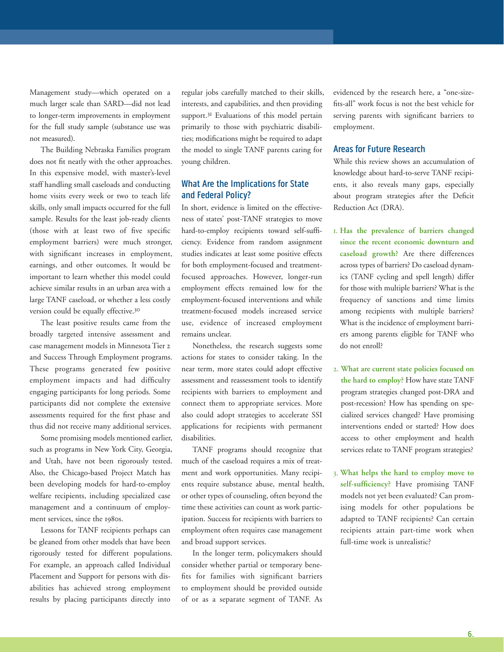Management study—which operated on a much larger scale than SARD—did not lead to longer-term improvements in employment for the full study sample (substance use was not measured).

The Building Nebraska Families program does not fit neatly with the other approaches. In this expensive model, with master's-level staff handling small caseloads and conducting home visits every week or two to teach life skills, only small impacts occurred for the full sample. Results for the least job-ready clients (those with at least two of five specific employment barriers) were much stronger, with significant increases in employment, earnings, and other outcomes. It would be important to learn whether this model could achieve similar results in an urban area with a large TANF caseload, or whether a less costly version could be equally effective.30

The least positive results came from the broadly targeted intensive assessment and case management models in Minnesota Tier 2 and Success Through Employment programs. These programs generated few positive employment impacts and had difficulty engaging participants for long periods. Some participants did not complete the extensive assessments required for the first phase and thus did not receive many additional services.

Some promising models mentioned earlier, such as programs in New York City, Georgia, and Utah, have not been rigorously tested. Also, the Chicago-based Project Match has been developing models for hard-to-employ welfare recipients, including specialized case management and a continuum of employment services, since the 1980s.

Lessons for TANF recipients perhaps can be gleaned from other models that have been rigorously tested for different populations. For example, an approach called Individual Placement and Support for persons with disabilities has achieved strong employment results by placing participants directly into

regular jobs carefully matched to their skills, interests, and capabilities, and then providing support.<sup>31</sup> Evaluations of this model pertain primarily to those with psychiatric disabilities; modifications might be required to adapt the model to single TANF parents caring for young children.

## **What Are the implications for State and federal Policy?**

In short, evidence is limited on the effectiveness of states' post-TANF strategies to move hard-to-employ recipients toward self-sufficiency. Evidence from random assignment studies indicates at least some positive effects for both employment-focused and treatmentfocused approaches. However, longer-run employment effects remained low for the employment-focused interventions and while treatment-focused models increased service use, evidence of increased employment remains unclear.

Nonetheless, the research suggests some actions for states to consider taking. In the near term, more states could adopt effective assessment and reassessment tools to identify recipients with barriers to employment and connect them to appropriate services. More also could adopt strategies to accelerate SSI applications for recipients with permanent disabilities.

TANF programs should recognize that much of the caseload requires a mix of treatment and work opportunities. Many recipients require substance abuse, mental health, or other types of counseling, often beyond the time these activities can count as work participation. Success for recipients with barriers to employment often requires case management and broad support services.

In the longer term, policymakers should consider whether partial or temporary benefits for families with significant barriers to employment should be provided outside of or as a separate segment of TANF. As

evidenced by the research here, a "one-sizefits-all" work focus is not the best vehicle for serving parents with significant barriers to employment.

## **Areas for Future Research**

While this review shows an accumulation of knowledge about hard-to-serve TANF recipients, it also reveals many gaps, especially about program strategies after the Deficit Reduction Act (DRA).

- 1. **Has the prevalence of barriers changed since the recent economic downturn and caseload growth?** Are there differences across types of barriers? Do caseload dynamics (TANF cycling and spell length) differ for those with multiple barriers? What is the frequency of sanctions and time limits among recipients with multiple barriers? What is the incidence of employment barriers among parents eligible for TANF who do not enroll?
- 2. **What are current state policies focused on the hard to employ?** How have state TANF program strategies changed post-DRA and post-recession? How has spending on specialized services changed? Have promising interventions ended or started? How does access to other employment and health services relate to TANF program strategies?
- 3. **What helps the hard to employ move to self-sufficiency?** Have promising TANF models not yet been evaluated? Can promising models for other populations be adapted to TANF recipients? Can certain recipients attain part-time work when full-time work is unrealistic?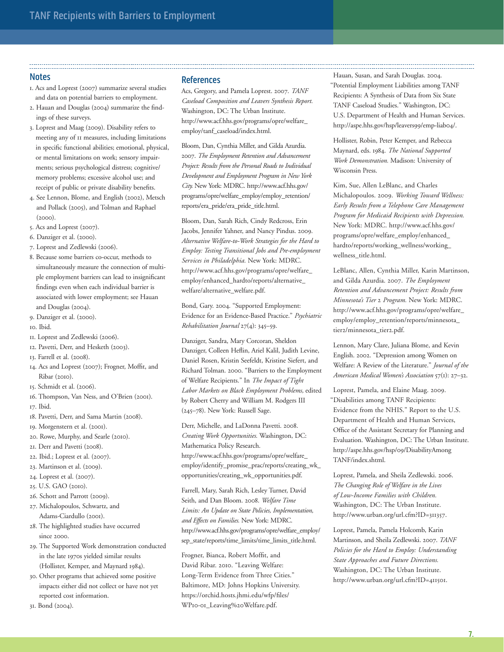#### **Notes**

- 1. Acs and Loprest (2007) summarize several studies and data on potential barriers to employment.
- 2. Hauan and Douglas (2004) summarize the findings of these surveys.
- 3. Loprest and Maag (2009). Disability refers to meeting any of 11 measures, including limitations in specific functional abilities; emotional, physical, or mental limitations on work; sensory impairments; serious psychological distress; cognitive/ memory problems; excessive alcohol use; and receipt of public or private disability benefits.
- 4. See Lennon, Blome, and English (2002), Metsch and Pollack (2005), and Tolman and Raphael (2000).
- 5. Acs and Loprest (2007).
- 6. Danziger et al. (2000).
- 7. Loprest and Zedlewski (2006).
- 8. Because some barriers co-occur, methods to simultaneously measure the connection of multiple employment barriers can lead to insignificant findings even when each individual barrier is associated with lower employment; see Hauan and Douglas (2004).
- 9. Danziger et al. (2000).
- 10. Ibid.
- 11. Loprest and Zedlewski (2006).
- 12. Pavetti, Derr, and Hesketh (2003).
- 13. Farrell et al. (2008).
- 14. Acs and Loprest (2007); Frogner, Moffit, and Ribar (2010).
- 15. Schmidt et al. (2006).
- 16. Thompson, Van Ness, and O'Brien (2001). 17. Ibid.
- 18. Pavetti, Derr, and Sama Martin (2008).
- 19. Morgenstern et al. (2001).
- 20. Rowe, Murphy, and Searle (2010).
- 21. Derr and Pavetti (2008).
- 22. Ibid.; Loprest et al. (2007).
- 23. Martinson et al. (2009).
- 24. Loprest et al. (2007).
- 25. U.S. GAO (2010).
- 26. Schott and Parrott (2009).
- 27. Michalopoulos, Schwartz, and Adams-Ciardullo (2001).
- 28. The highlighted studies have occurred since 2000.
- 29. The Supported Work demonstration conducted in the late 1970s yielded similar results (Hollister, Kemper, and Maynard 1984).
- 30. Other programs that achieved some positive impacts either did not collect or have not yet reported cost information.
- 31. Bond (2004).

#### **references**

Acs, Gregory, and Pamela Loprest. 2007. *TANF Caseload Composition and Leavers Synthesis Report.* Washington, DC: The Urban Institute. http://www.acf.hhs.gov/programs/opre/welfare\_ employ/tanf\_caseload/index.html.

Bloom, Dan, Cynthia Miller, and Gilda Azurdia. 2007. *The Employment Retention and Advancement Project: Results from the Personal Roads to Individual Development and Employment Program in New York City.* New York: MDRC. http://www.acf.hhs.gov/ programs/opre/welfare\_employ/employ\_retention/ reports/era\_pride/era\_pride\_title.html.

Bloom, Dan, Sarah Rich, Cindy Redcross, Erin Jacobs, Jennifer Yahner, and Nancy Pindus. 2009. *Alternative Welfare-to-Work Strategies for the Hard to Employ: Testing Transitional Jobs and Pre-employment Services in Philadelphia.* New York: MDRC. http://www.acf.hhs.gov/programs/opre/welfare\_ employ/enhanced\_hardto/reports/alternative\_ welfare/alternative\_welfare.pdf.

Bond, Gary. 2004. "Supported Employment: Evidence for an Evidence-Based Practice." *Psychiatric Rehabilitation Journal* 27(4): 345–59.

Danziger, Sandra, Mary Corcoran, Sheldon Danziger, Colleen Heflin, Ariel Kalil, Judith Levine, Daniel Rosen, Kristin Seefeldt, Kristine Siefert, and Richard Tolman. 2000. "Barriers to the Employment of Welfare Recipients." In *The Impact of Tight Labor Markets on Black Employment Problems,* edited by Robert Cherry and William M. Rodgers III (245–78). New York: Russell Sage.

Derr, Michelle, and LaDonna Pavetti. 2008. *Creating Work Opportunities.* Washington, DC: Mathematica Policy Research. http://www.acf.hhs.gov/programs/opre/welfare\_ employ/identify\_promise\_prac/reports/creating\_wk\_ opportunities/creating\_wk\_opportunities.pdf.

Farrell, Mary, Sarah Rich, Lesley Turner, David Seith, and Dan Bloom. 2008. *Welfare Time Limits: An Update on State Policies, Implementation, and Effects on Families.* New York: MDRC. http://www.acf.hhs.gov/programs/opre/welfare\_employ/ sep\_state/reports/time\_limits/time\_limits\_title.html.

Frogner, Bianca, Robert Moffit, and David Ribar. 2010. "Leaving Welfare: Long-Term Evidence from Three Cities." Baltimore, MD: Johns Hopkins University. https://orchid.hosts.jhmi.edu/wfp/files/ WP10-01\_Leaving%20Welfare.pdf.

Hauan, Susan, and Sarah Douglas. 2004. "Potential Employment Liabilities among TANF Recipients: A Synthesis of Data from Six State TANF Caseload Studies." Washington, DC: U.S. Department of Health and Human Services. http://aspe.hhs.gov/hsp/leavers99/emp-liab04/.

Hollister, Robin, Peter Kemper, and Rebecca Maynard, eds. 1984. *The National Supported Work Demonstration.* Madison: University of Wisconsin Press.

Kim, Sue, Allen LeBlanc, and Charles Michalopoulos. 2009. *Working Toward Wellness: Early Results from a Telephone Care Management Program for Medicaid Recipients with Depression.* New York: MDRC. http://www.acf.hhs.gov/ programs/opre/welfare\_employ/enhanced\_ hardto/reports/working\_wellness/working\_ wellness\_title.html.

LeBlanc, Allen, Cynthia Miller, Karin Martinson, and Gilda Azurdia. 2007. *The Employment Retention and Advancement Project: Results from Minnesota's Tier* 2 *Program.* New York: MDRC. http://www.acf.hhs.gov/programs/opre/welfare\_ employ/employ\_retention/reports/minnesota\_ tier2/minnesota\_tier2.pdf.

Lennon, Mary Clare, Juliana Blome, and Kevin English. 2002. "Depression among Women on Welfare: A Review of the Literature." *Journal of the American Medical Women's Association* 57(1): 27–32.

Loprest, Pamela, and Elaine Maag. 2009. "Disabilities among TANF Recipients: Evidence from the NHIS." Report to the U.S. Department of Health and Human Services, Office of the Assistant Secretary for Planning and Evaluation. Washington, DC: The Urban Institute. http://aspe.hhs.gov/hsp/09/DisabilityAmong TANF/index.shtml.

Loprest, Pamela, and Sheila Zedlewski. 2006. *The Changing Role of Welfare in the Lives of Low-Income Families with Children.* Washington, DC: The Urban Institute. http://www.urban.org/url.cfm?ID=311357.

Loprest, Pamela, Pamela Holcomb, Karin Martinson, and Sheila Zedlewski. 2007. *TANF Policies for the Hard to Employ: Understanding State Approaches and Future Directions.*  Washington, DC: The Urban Institute. http://www.urban.org/url.cfm?ID=411501.